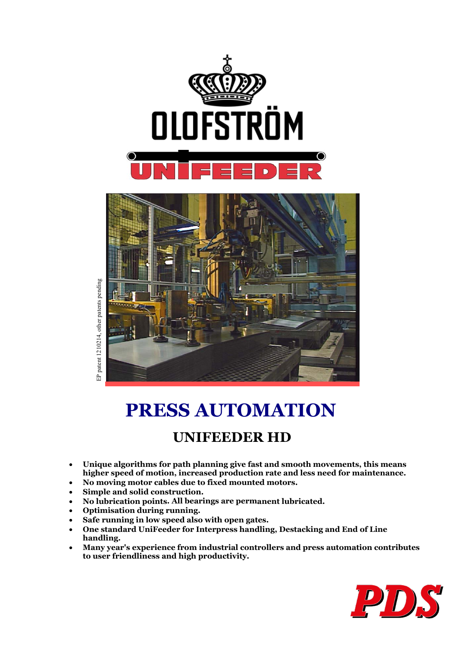



EP patent 1210214, other patents pending patent 1210214, other patents pending  $\mathbf{a}$ 

# **PRESS AUTOMATION**

# **UNIFEEDER HD**

- **Unique algorithms for path planning give fast and smooth movements, this means higher speed of motion, increased production rate and less need for maintenance.**
- **No moving motor cables due to fixed mounted motors.**
- **Simple and solid construction.**
- **No lubrication points. All bearings are permanent lubricated.**
- **Optimisation during running.**
- **Safe running in low speed also with open gates.**
- **One standard UniFeeder for Interpress handling, Destacking and End of Line handling.**
- **Many year's experience from industrial controllers and press automation contributes to user friendliness and high productivity.**

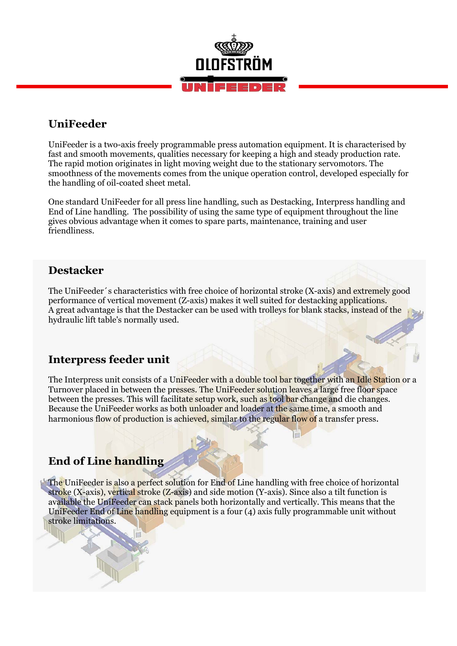

### **UniFeeder**

UniFeeder is a two-axis freely programmable press automation equipment. It is characterised by fast and smooth movements, qualities necessary for keeping a high and steady production rate. The rapid motion originates in light moving weight due to the stationary servomotors. The smoothness of the movements comes from the unique operation control, developed especially for the handling of oil-coated sheet metal.

One standard UniFeeder for all press line handling, such as Destacking, Interpress handling and End of Line handling. The possibility of using the same type of equipment throughout the line gives obvious advantage when it comes to spare parts, maintenance, training and user friendliness.

### **Destacker**

The UniFeeder´s characteristics with free choice of horizontal stroke (X-axis) and extremely good performance of vertical movement (Z-axis) makes it well suited for destacking applications. A great advantage is that the Destacker can be used with trolleys for blank stacks, instead of the hydraulic lift table's normally used.

## **Interpress feeder unit**

The Interpress unit consists of a UniFeeder with a double tool bar together with an Idle Station or a Turnover placed in between the presses. The UniFeeder solution leaves a large free floor space between the presses. This will facilitate setup work, such as tool bar change and die changes. Because the UniFeeder works as both unloader and loader at the same time, a smooth and harmonious flow of production is achieved, similar to the regular flow of a transfer press.

# **End of Line handling**

The UniFeeder is also a perfect solution for End of Line handling with free choice of horizontal stroke (X-axis), vertical stroke (Z-axis) and side motion (Y-axis). Since also a tilt function is available the UniFeeder can stack panels both horizontally and vertically. This means that the UniFeeder End of Line handling equipment is a four (4) axis fully programmable unit without stroke limitations.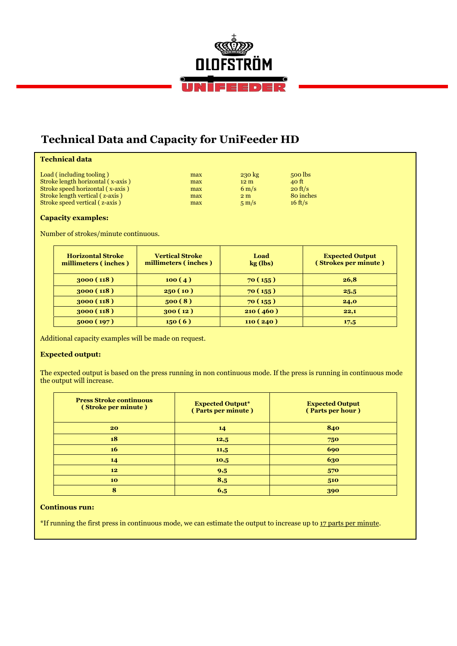

# **Technical Data and Capacity for UniFeeder HD**

| max | $230 \text{ kg}$ | 500 lbs           |
|-----|------------------|-------------------|
| max | 12 <sub>m</sub>  | 40 ft             |
| max | $6 \text{ m/s}$  | $20 \text{ ft/s}$ |
| max | 2 <sub>m</sub>   | 80 inches         |
| max | $5 \text{ m/s}$  | $16 \text{ ft/s}$ |
|     |                  |                   |

### **Capacity examples:**

Number of strokes/minute continuous.

| <b>Horizontal Stroke</b><br>millimeters (inches) | <b>Vertical Stroke</b><br>millimeters (inches) | Load<br>$kg$ (lbs) | <b>Expected Output</b><br>(Strokes per minute) |
|--------------------------------------------------|------------------------------------------------|--------------------|------------------------------------------------|
| 3000(118)                                        | 100(4)                                         | 70(155)            | 26,8                                           |
| 3000(118)                                        | 250(10)                                        | 70(155)            | 25,5                                           |
| 3000(118)                                        | 500(8)                                         | 70(155)            | 24,0                                           |
| 3000(118)                                        | 300(12)                                        | 210(460)           | 22,1                                           |
| 5000(197)                                        | 150(6)                                         | 110(240)           | 17,5                                           |

Additional capacity examples will be made on request.

### **Expected output:**

The expected output is based on the press running in non continuous mode. If the press is running in continuous mode the output will increase.

| <b>Press Stroke continuous</b><br>(Stroke per minute) | <b>Expected Output*</b><br>(Parts per minute) | <b>Expected Output</b><br>(Parts per hour) |
|-------------------------------------------------------|-----------------------------------------------|--------------------------------------------|
| 20                                                    | 14                                            | 840                                        |
| 18                                                    | 12,5                                          | 750                                        |
| <b>16</b>                                             | 11,5                                          | 690                                        |
| 14                                                    | 10,5                                          | 630                                        |
| 12                                                    | 9,5                                           | 570                                        |
| 10                                                    | 8,5                                           | 510                                        |
| 8                                                     | 6,5                                           | 390                                        |

#### **Continous run:**

\*If running the first press in continuous mode, we can estimate the output to increase up to 17 parts per minute.